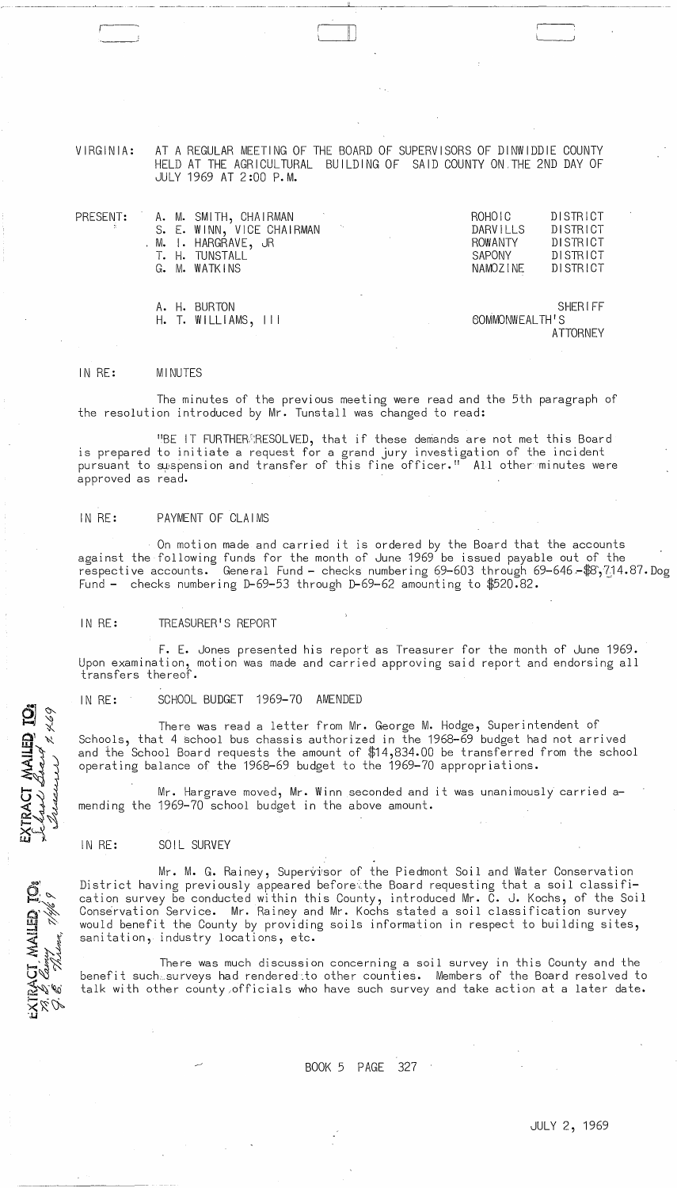VIRGINIA: AT A REGULAR MEETING OF THE BOARD OF SUPERVISORS OF DINWIDDIE COUNTY HELD AT THE AGRICULTURAL BUILDING OF SAID COUNTY ON ,THE 2ND DAY OF JULY 1969 AT 2 :00 P. M.

II )

| PRESENT: |  | A. M. SMITH, CHAIRMAN     | ROHOIC         | DISTRICT       |
|----------|--|---------------------------|----------------|----------------|
|          |  | S. E. WINN, VICE CHAIRMAN | DARVILLS       | DISTRICT       |
|          |  | . M. I. HARGRAVE, JR      | <b>ROWANTY</b> | DISTRICT       |
|          |  | T. H. TUNSTALL            | SAPONY         | DISTRICT       |
|          |  | G. M. WATKINS             | NAMOZINE       | DISTRICT       |
|          |  |                           |                |                |
|          |  |                           |                |                |
|          |  | A. H. BURTON              |                | <b>SHERIFF</b> |

H. T. WILLIAMS, III SOMMONWEALTH'S **ATTORNEY** 

#### IN RE: MINUTES

r

The minutes of the previous meeting were read and the 5th paragraph of the resolution introduced by Mr. Tunstall was changed to read:

"BE IT FURTHERM;RESOLVED, that if these demands are not met this Board is prepared to initiate a request for a grand jury investigation of the incident pursuant to suspension and transfer of this fine officer." All other minutes were approved as read.

## IN RE: PAYMENT OF CLAIMS

On motion made and carried it is ordered by the Board that the accounts against the following funds for the month of June 1969 be issued payable out of the respective accounts. General Fund - checks numbering 69-603 through 69-646.48,714.87.Dog Fund - checks numbering D-69-53 through D-69-62 amounting to \$520.82.

#### IN RE: TREASURER'S REPORT

F. E. Jones presented his report as Treasurer for the month of June 1969. Upon examination, motion was made and carried approving said report and endorsing all transfers thereof.

#### IN RE: SCHOOL BUDGET 1969-70 AMENDED

There was read a letter from Mr. George M. Hodge, Superintendent of Schools, that 4 school bus chassis authorized in the 1968-69 budget had not arrived and the School Board requests the amount of \$14,834.00 be transferred from the school operating balance of the 1968-69 budget to the 1969-70 appropriations.

Mr. Hargrave moved, Mr. Winn seconded and it was unanimously carried amending the 1969-70 school budget in the above amount.

## IN RE: SOIL SURVEY

1.469

RACT MAILED IO

ACT, MAILED, TO:<br>? Carrus

HIRA

Mr. M. G. Rainey, Supervisor of the Piedmont Soil and Water Conservation District having previously appeared beforethe Board requesting that a soil classification survey be conducted within this County, introduced Mr. C. J. Kochs, of the Soil Conservation Service. Mr. Rainey and Mr. Kochs stated a soil classification survey would benefit the County by providing soils information in respect to building sites, sanitation, industry locations, etc.

There was much discussion concerning a soil survey in this County and the benefit such~surveys had rendered:to other counties. Members of the Board resolved to talk with other county,officials who have such survey and take action at a later date.

# BOOK 5 PAGE 327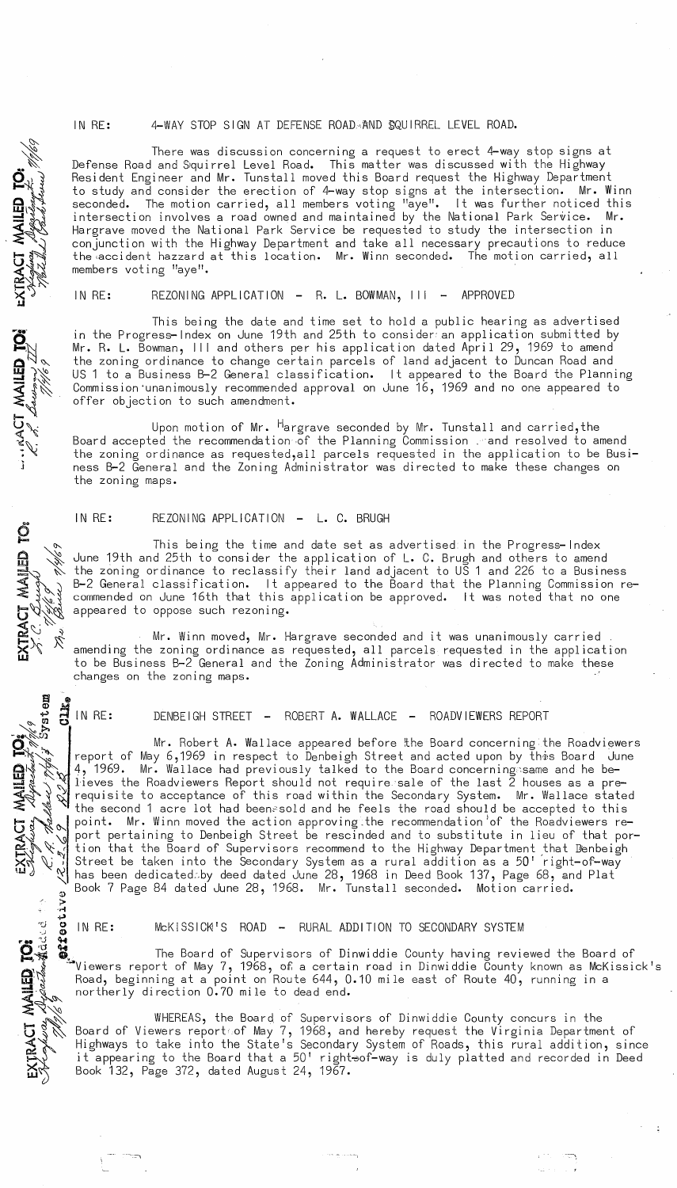IN RE: 4-WAY STOP SIGN AT DEFENSE ROADAAND SQUIRREL LEVEL ROAD.

There was discussion concerning a request to erect 4-way stop signs at Defense Road and Squirrel Level Road. This matter was discussed with the Highway Resident Engineer and Mr. Tunstall moved this Board request the Highway Department to study and consider the erection of 4-way stop signs at the intersection. Mr. Winn seconded. The motion carried, all members voting "aye". It was further noticed this intersection involves a road owned and maintained by the National Park Service. Mr. Hargrave moved the National Park Service be requested to study the intersection in conjunction with the Highway Department and take all necessary precautions to reduce<br>the accident hazzard at this location. Mr. Winn seconded. The motion carried, all the accident hazzard at this location. Mr. Winn seconded. members voting "aye".

 $\mathbf{X}_2$ .

"'~ ~

1<br>141<br>141

 $\equiv$  3.1

 $\leq$ 

*r •• "*  $\mathbf{P}_\mathbb{N}$  $\mathbf{a} \vee \mathbf{a}$ 

 $\sum_{i=1}^{\infty}$  $\sum\limits_{i=1}^N\ell_i$ 

~~

 $\mathbf{S}$ 

IN RE: REZONING APPLICATION - R. L. BOWMAN, III - APPROVED

This being the date and time set to hold a public hearing as advertised in the Progress-Index on June 19th and 25th to consider-an application submitted by Mr. R. L. Bowman, III and others per his application dated April 29, 1969 to amend the zoning ordinance to change certain parcels of land adjacent to Duncan Road and US 1 to a Business B-2 General classification. It appeared to the Board the Planning Commission'unanimously recommended approval on June 16, 1969 and no one appeared to offer objection to such amendment.

Upon motion of Mr. <sup>H</sup>argrave seconded by Mr. Tunstall and carried,the Board accepted the recommendation of the Planning Commission . and resolved to amend the zoning ordinance as requested,all parcels requested in the application to be Business B-2 General and the Zoning Administrator was directed to make these changes on the zoning maps.

IN RE: REZONING APPLICATION - L. C. BRUGH

 $\mathbf{g} \geqslant \frac{\sqrt{2}}{2}$  the  $\mathbf{z}^{c}$ This being the time and date set as advertised in the Progress-Index June 19th and 25th to consider the application of L. C. Brugh and others to amend the zoning ordinance to reclassify their land adjacent to US 1 and 226 to a Business B-2 General classification. It appeared to the Board that the Planning Commission recommended on June 16th that this application be approved. It was noted that no one appeared to oppose such rezoning.

 $\mathbf{g}_\mathscr{L}$   $\sim$   $^{10}$ Mr. Winn moved, Mr. Hargrave seconded and it was unanimously carried amending the zoning ordinance as requested, all parcels requested in the application to be Business B-2 General and the Zoning Administrator was directed to make these changes on the zoning maps.

**dlk** g دبه<br>مع IN RE:

 $\mathbb{R}$   $\mathbb{R}$ 

 $XIRAGI$ <br> $P=$   $R$ , the  $\ll_{\kappa_{\gamma'}}$ 

**MAILED** 

DENBEIGH STREET - ROBERT A. WALLACE - ROADVIEWERS REPORT

 $\begin{array}{c} \begin{array}{c} \text{if } \\ \text{if } \\ \text{if } \\ \text{if } \\ \text{if } \\ \text{if } \\ \text{if } \\ \text{if } \\ \text{if } \\ \text{if } \\ \text{if } \\ \text{if } \\ \text{if } \\ \text{if } \\ \text{if } \\ \text{if } \\ \text{if } \\ \text{if } \\ \text{if } \\ \text{if } \\ \text{if } \\ \text{if } \\ \text{if } \\ \text{if } \\ \text{if } \\ \text{if } \\ \text{if } \\ \text{if } \\ \text{if } \\ \text{if } \\ \text{if } \\ \text{if } \\ \text{if } \\ \text{if } \\ \text$ N has been dedicated by deed dated June 20, 1200 In beed Book 137, Page<br>Book 7 Page 84 dated June 28, 1968. Mr. Tunstall seconded. Motion of<br>  $\frac{3}{2}$  **...**<br> **10** IN RE: McKISSICM'S ROAD - RURAL ADDITION TO SECONDARY SYST Mr. Robert A. Wallace appeared before the Board concerning the Roadviewers report of May 6,1969 in respect to Denbeigh Street and acted upon by this Board June 4, 1969. Mr. Wallace had previously talked to the Board concerning same and he believes the Roadviewers Report should not requi resale of the last 2 houses as a prerequisite to acceptance of this road within the Secondary System. Mr. Wallace stated the second 1 acre lot had been~sold and he feels the road should be accepted to this point. Mr. Winn moved the action approving the recommendation of the Roadviewers report pertaining to Denbeigh Street be rescinded and to substitute in lieu of that portion that the Board of Supervisors recommend to the Highway Department ,that Denbeigh Street be taken into the Secondary System as a rural addition as a 50' right-of-way has been dedicatedby deed dated June 28, 1968 in Deed Book 137, Page 68, and Plat  $\,$ Book 7 Page 84 dated June 28, 1968. Mr. Tunstall seconded. Motion carried.

 $\mathbf{Q}$  $\ddot{\mathbf{w}}$   $\ddot{\mathbf{w}}$   $\ddot{\mathbf{w}}$   $\ddot{\mathbf{w}}$  are The Board of Supervisors of Dinwiddie County having reviewed the Board of  $\sum_{k=1}^{\infty}$   $\sum_{k=1}^{\infty}$  Viewers report of May 7, 1968, of a certain road in Dinwiddie County known as McKissick's  $\mathbf{G} \$  . Road, beginning at a point on Route 644, 0.10 mile east of Route 40, running in a  $\vec{z}$  , northerly direction 0.70 mile to dead end.

 $\sqrt[3]{\mathbb{Q}}$  . WHEREAS, the Board of Supervisors of Dinwiddie County concurs in the  $\bf 5\%$  Board of Viewers report of May 7, 1968, and hereby request the Virginia Department of  $\widetilde{\mathbb{R}}$   $\widetilde{\mathbb{R}}$  Highways to take into the State's Secondary System of Roads, this rural addition, since<br>. it appearing to the Board that a 50' right⇒of-way is duly platted and recorded in Deed  $\delta$  Book 132, Page 372, dated August 24, 1967.

.. -::::-, ---1 -~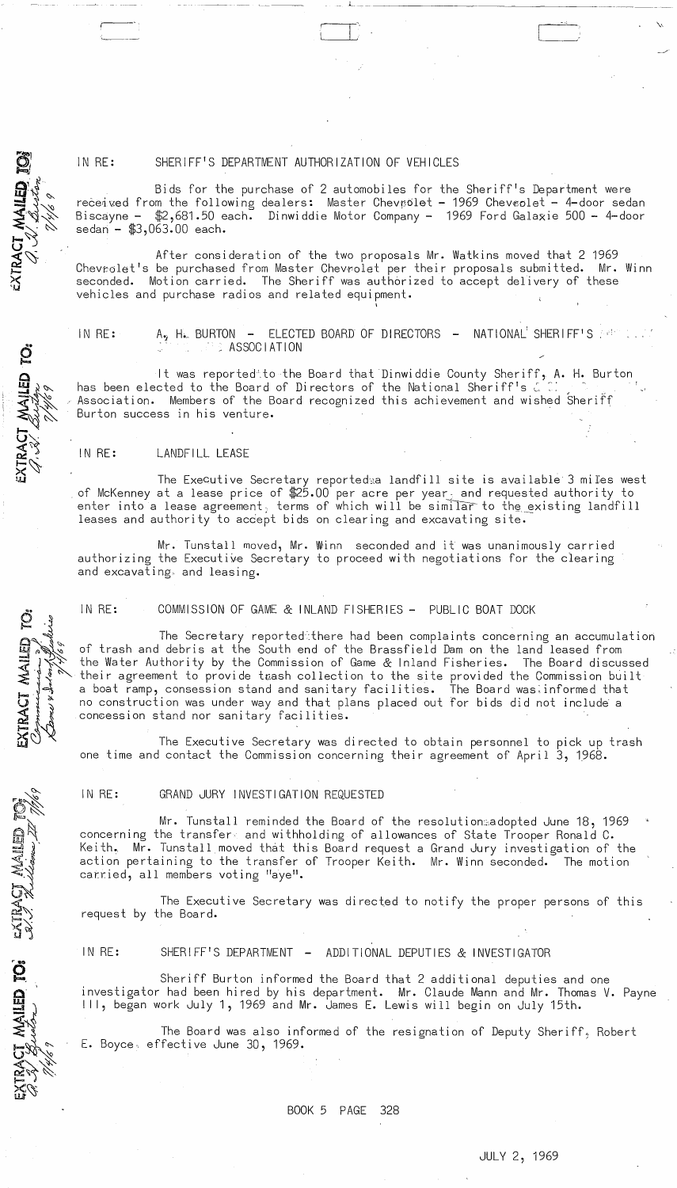## IN RE: SHERIFF'S DEPARTMENT AUTHORIZATION OF VEHICLES

~~~-- ~- ,\_.\_--- "

Bids for the purchase of 2 automobiles for the Sheriff's Department were received from the following dealers: Master Chevrolet - 1969 Chevrolet - 4-door sedan Biscayne - \$2,681.50 each. Dinwiddie Motor Company - 1969 Ford Galaxie 500 - 4-door sedan - \$3,063.00 each.

After consideration of the two proposals Mr. Watkins moved that 2 1969 Chevrolet's be purchased from Master Chevrolet per their proposals submitted. Mr. Winn seconded. Motion carried. The Sheriff was authorized to accept delivery of these vehicles and purchase radios and related equipment.

ACT MAILED TOS

TRACT MAILED TO:

EXTRACT MAILED TO:

extract mailed to

**CETIVAL** 

IN RE:  $A_2$  H. BURTON - ELECTED BOARD OF DIRECTORS - NATIONAL SHERIFF'S  $\ddot{\hspace{1cm}}$ 

It was reported'"to the Board that Dinwiddie County Sheriff, A. H. Burton has been elected to the Board of Directors of the National Sheriff's  $\zeta$  :: Association. Members of the Board recognized this achievement and wished Sheriff Burton success in his venture.

### IN RE: LANDFILL LEASE

The Executive Secretary reported<sub>28</sub> landfill site is available 3 miles west of McKenney at a lease price of  $25.00$  per acre per year; and requested authority to enter into a lease agreement, terms of which will be similar to the existing landfill leases and authority to accept bids on clearing and excavating site.

Mr. Tunstall moved, Mr. Winn seconded and it was unanimously carried authorizing the Executive Secretary to proceed with negotiations for the clearing and excavating. and leasing.

IN RE: COMMISSION OF GAME & INLAND FISHERIES - PUBLIC BOAT DOCK

The Secretary reported~there had been complaints concerning an accumulation of trash and debris at the South end of the Brassfield Dam on the land leased from the Water Authority by the Commission of Game & Inland Fisheries. The Board discussed their agreement to provide twash collection to the site provided the Commission built a boat ramp, consession stand and sanitary facilities. The Board wasinformed that no construction was under way and that plans placed out for bids did not include a con8ession stand nor sanitary facilities.

The Executive Secretary was directed to obtain personnel to pick up trash one time and contact the Commission concerning their agreement of April 3, 1968.

IN RE: GRAND JURY INVESTIGATION REQUESTED

Mr. Tunstall reminded the Board of the resolution:sadopted June 18, 1969 concerning the transfers and withholding of allowances of State Trooper Ronald C. Keith., Mr. Tunstall moved that this Board request a Grand Jury investigation of the action pertaining to the transfer of Trooper Keith. Mr. Winn seconded. The motion carried, all members voting "aye".

The Executive Secretary was directed to notify the proper persons of this request by the Board.

IN RE: SHERIFF'S DEPARTMENT - ADDITIONAL DEPUTIES & INVESTIGATOR

Sheriff Burton informed the Board that 2 additional deputies and one investigator had been hired by his department. Mr. Claude Mann and Mr. Thomas V. Payne III, began work July 1, 1969 and Mr. James E. Lewis will begin on July 15th.

The Board was also informed of the resignation of Deputy Sheriff, Robert E. Boyce, effective June 30, 1969.

BOOK 5 PAGE 328